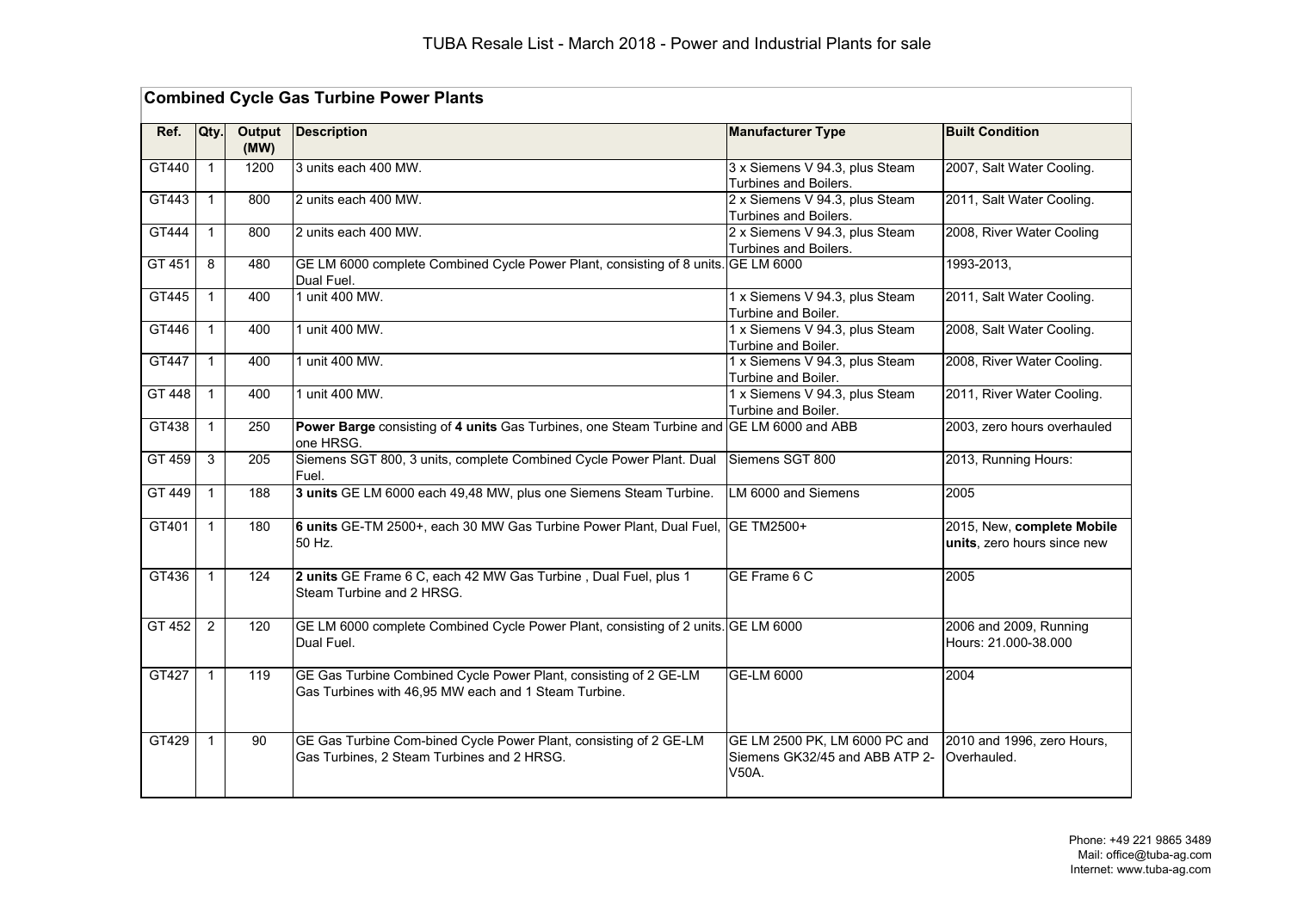| <b>Combined Cycle Gas Turbine Power Plants</b> |              |                |                                                                                                                          |                                                                          |                                                           |  |  |
|------------------------------------------------|--------------|----------------|--------------------------------------------------------------------------------------------------------------------------|--------------------------------------------------------------------------|-----------------------------------------------------------|--|--|
| Ref.                                           | Qty.         | Output<br>(MW) | <b>Description</b>                                                                                                       | <b>Manufacturer Type</b>                                                 | <b>Built Condition</b>                                    |  |  |
| GT440                                          | $\mathbf{1}$ | 1200           | 3 units each 400 MW.                                                                                                     | 3 x Siemens V 94.3, plus Steam<br>Turbines and Boilers.                  | 2007, Salt Water Cooling.                                 |  |  |
| GT443                                          | $\mathbf{1}$ | 800            | 2 units each 400 MW.                                                                                                     | 2 x Siemens V 94.3, plus Steam<br>Turbines and Boilers.                  | 2011, Salt Water Cooling.                                 |  |  |
| GT444                                          | $\mathbf{1}$ | 800            | 2 units each 400 MW.                                                                                                     | 2 x Siemens V 94.3, plus Steam<br>Turbines and Boilers.                  | 2008, River Water Cooling                                 |  |  |
| GT 451                                         | 8            | 480            | GE LM 6000 complete Combined Cycle Power Plant, consisting of 8 units. GE LM 6000<br>Dual Fuel.                          |                                                                          | 1993-2013,                                                |  |  |
| GT445                                          | $\mathbf{1}$ | 400            | 1 unit 400 MW.                                                                                                           | 1 x Siemens V 94.3, plus Steam<br>Turbine and Boiler.                    | 2011, Salt Water Cooling.                                 |  |  |
| GT446                                          | $\mathbf{1}$ | 400            | 1 unit 400 MW.                                                                                                           | 1 x Siemens V 94.3, plus Steam<br>Turbine and Boiler.                    | 2008, Salt Water Cooling.                                 |  |  |
| GT447                                          | $\mathbf{1}$ | 400            | 1 unit 400 MW.                                                                                                           | 1 x Siemens V 94.3, plus Steam<br>Turbine and Boiler.                    | 2008, River Water Cooling.                                |  |  |
| GT 448                                         | $\mathbf{1}$ | 400            | 1 unit 400 MW.                                                                                                           | 1 x Siemens V 94.3, plus Steam<br>Turbine and Boiler.                    | 2011, River Water Cooling.                                |  |  |
| GT438                                          | $\mathbf{1}$ | 250            | Power Barge consisting of 4 units Gas Turbines, one Steam Turbine and<br>one HRSG.                                       | GE LM 6000 and ABB                                                       | 2003, zero hours overhauled                               |  |  |
| GT 459                                         | 3            | 205            | Siemens SGT 800, 3 units, complete Combined Cycle Power Plant. Dual<br>Fuel.                                             | Siemens SGT 800                                                          | 2013, Running Hours:                                      |  |  |
| GT 449                                         | $\mathbf{1}$ | 188            | 3 units GE LM 6000 each 49,48 MW, plus one Siemens Steam Turbine.                                                        | LM 6000 and Siemens                                                      | 2005                                                      |  |  |
| GT401                                          | $\mathbf{1}$ | 180            | 6 units GE-TM 2500+, each 30 MW Gas Turbine Power Plant, Dual Fuel,<br>50 Hz.                                            | <b>GE TM2500+</b>                                                        | 2015, New, complete Mobile<br>units, zero hours since new |  |  |
| GT436                                          | $\mathbf{1}$ | 124            | 2 units GE Frame 6 C, each 42 MW Gas Turbine, Dual Fuel, plus 1<br>Steam Turbine and 2 HRSG.                             | GE Frame 6 C                                                             | 2005                                                      |  |  |
| GT 452                                         | 2            | 120            | GE LM 6000 complete Combined Cycle Power Plant, consisting of 2 units. GE LM 6000<br>Dual Fuel.                          |                                                                          | 2006 and 2009, Running<br>Hours: 21.000-38.000            |  |  |
| GT427                                          | $\mathbf{1}$ | 119            | GE Gas Turbine Combined Cycle Power Plant, consisting of 2 GE-LM<br>Gas Turbines with 46,95 MW each and 1 Steam Turbine. | GE-LM 6000                                                               | 2004                                                      |  |  |
| GT429                                          | $\mathbf{1}$ | 90             | GE Gas Turbine Com-bined Cycle Power Plant, consisting of 2 GE-LM<br>Gas Turbines, 2 Steam Turbines and 2 HRSG.          | GE LM 2500 PK, LM 6000 PC and<br>Siemens GK32/45 and ABB ATP 2-<br>V50A. | 2010 and 1996, zero Hours,<br>Overhauled.                 |  |  |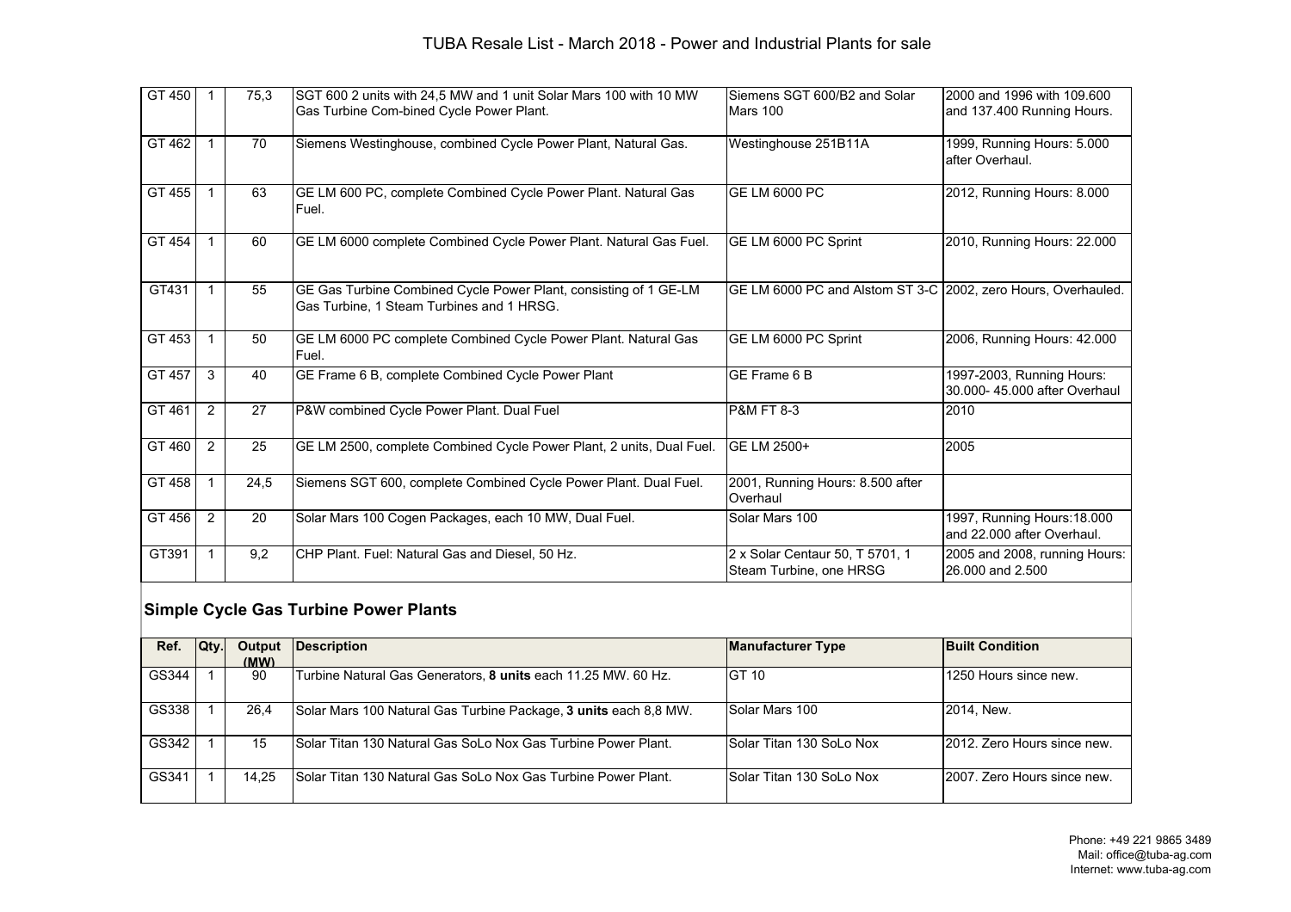### TUBA Resale List - March 2018 - Power and Industrial Plants for sale

| GT 450 |   | 75.3 | SGT 600 2 units with 24,5 MW and 1 unit Solar Mars 100 with 10 MW<br>Gas Turbine Com-bined Cycle Power Plant. | Siemens SGT 600/B2 and Solar<br>Mars 100                      | 2000 and 1996 with 109,600<br>and 137.400 Running Hours.  |
|--------|---|------|---------------------------------------------------------------------------------------------------------------|---------------------------------------------------------------|-----------------------------------------------------------|
| GT 462 |   | 70   | Siemens Westinghouse, combined Cycle Power Plant, Natural Gas.                                                | Westinghouse 251B11A                                          | 1999, Running Hours: 5.000<br>after Overhaul.             |
| GT 455 |   | 63   | GE LM 600 PC, complete Combined Cycle Power Plant. Natural Gas<br>Fuel.                                       | GE LM 6000 PC                                                 | 2012, Running Hours: 8.000                                |
| GT 454 |   | 60   | GE LM 6000 complete Combined Cycle Power Plant. Natural Gas Fuel.                                             | GE LM 6000 PC Sprint                                          | 2010, Running Hours: 22.000                               |
| GT431  |   | 55   | GE Gas Turbine Combined Cycle Power Plant, consisting of 1 GE-LM<br>Gas Turbine, 1 Steam Turbines and 1 HRSG. | GE LM 6000 PC and Alstom ST 3-C 2002, zero Hours, Overhauled. |                                                           |
| GT 453 |   | 50   | GE LM 6000 PC complete Combined Cycle Power Plant. Natural Gas<br>Fuel.                                       | GE LM 6000 PC Sprint                                          | 2006, Running Hours: 42.000                               |
| GT 457 | 3 | 40   | GE Frame 6 B, complete Combined Cycle Power Plant                                                             | IGE Frame 6 B                                                 | 1997-2003, Running Hours:<br>30.000-45.000 after Overhaul |
| GT 461 | 2 | 27   | P&W combined Cycle Power Plant. Dual Fuel                                                                     | <b>P&amp;M FT 8-3</b>                                         | 2010                                                      |
| GT 460 | 2 | 25   | GE LM 2500, complete Combined Cycle Power Plant, 2 units, Dual Fuel.                                          | <b>GE LM 2500+</b>                                            | 2005                                                      |
| GT 458 |   | 24,5 | Siemens SGT 600, complete Combined Cycle Power Plant. Dual Fuel.                                              | 2001, Running Hours: 8.500 after<br>Overhaul                  |                                                           |
| GT 456 | 2 | 20   | Solar Mars 100 Cogen Packages, each 10 MW, Dual Fuel.                                                         | Solar Mars 100                                                | 1997, Running Hours: 18.000<br>and 22,000 after Overhaul. |
| GT391  |   | 9,2  | CHP Plant. Fuel: Natural Gas and Diesel, 50 Hz.                                                               | 2 x Solar Centaur 50, T 5701, 1<br>Steam Turbine, one HRSG    | 2005 and 2008, running Hours:<br>26.000 and 2.500         |

#### **Simple Cycle Gas Turbine Power Plants**

| Ref.  | Qty. | Output<br>(MW) | Description                                                          | <b>Manufacturer Type</b>  | <b>Built Condition</b>      |
|-------|------|----------------|----------------------------------------------------------------------|---------------------------|-----------------------------|
| GS344 |      | 90             | Turbine Natural Gas Generators, 8 units each 11.25 MW. 60 Hz.        | <b>IGT 10</b>             | 1250 Hours since new.       |
| GS338 |      | 26,4           | Solar Mars 100 Natural Gas Turbine Package, 3 units each 8,8 MW.     | Solar Mars 100            | 2014, New.                  |
| GS342 |      | 15             | ISolar Titan 130 Natural Gas SoLo Nox Gas Turbine Power Plant.       | ISolar Titan 130 SoLo Nox | 2012. Zero Hours since new. |
| GS341 |      | 14,25          | <b>Solar Titan 130 Natural Gas SoLo Nox Gas Turbine Power Plant.</b> | Solar Titan 130 SoLo Nox  | 2007. Zero Hours since new. |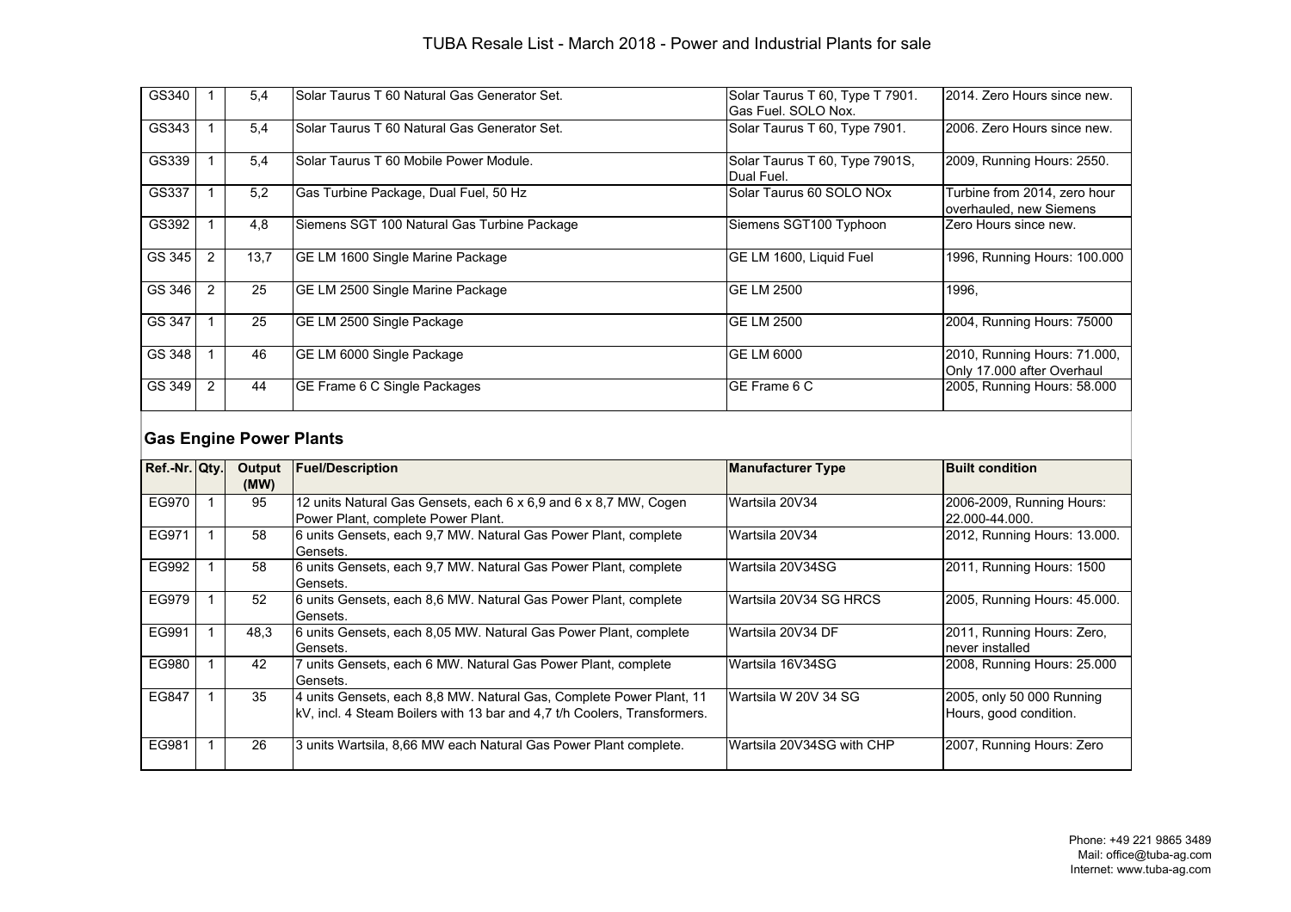| GS340  |                | 5,4  | Solar Taurus T 60 Natural Gas Generator Set. | Solar Taurus T 60, Type T 7901.<br>Gas Fuel. SOLO Nox. | 2014. Zero Hours since new.                                |
|--------|----------------|------|----------------------------------------------|--------------------------------------------------------|------------------------------------------------------------|
| GS343  |                | 5.4  | Solar Taurus T 60 Natural Gas Generator Set. | Solar Taurus T 60, Type 7901.                          | 2006. Zero Hours since new.                                |
| GS339  |                | 5.4  | Solar Taurus T 60 Mobile Power Module.       | Solar Taurus T 60, Type 7901S,<br>Dual Fuel.           | 2009, Running Hours: 2550.                                 |
| GS337  |                | 5,2  | Gas Turbine Package, Dual Fuel, 50 Hz        | Solar Taurus 60 SOLO NOx                               | Turbine from 2014, zero hour<br>overhauled, new Siemens    |
| GS392  |                | 4,8  | Siemens SGT 100 Natural Gas Turbine Package  | Siemens SGT100 Typhoon                                 | Zero Hours since new.                                      |
| GS 345 | 2              | 13,7 | GE LM 1600 Single Marine Package             | <b>GE LM 1600, Liquid Fuel</b>                         | 1996, Running Hours: 100.000                               |
| GS 346 | $\overline{2}$ | 25   | IGE LM 2500 Single Marine Package            | <b>GE LM 2500</b>                                      | 1996.                                                      |
| GS 347 |                | 25   | GE LM 2500 Single Package                    | <b>GE LM 2500</b>                                      | 2004, Running Hours: 75000                                 |
| GS 348 |                | 46   | GE LM 6000 Single Package                    | <b>GE LM 6000</b>                                      | 2010, Running Hours: 71.000,<br>Only 17.000 after Overhaul |
| GS 349 | 2              | 44   | GE Frame 6 C Single Packages                 | IGE Frame 6 C                                          | 2005, Running Hours: 58.000                                |

# **Gas Engine Power Plants**

| Ref.-Nr. Qty. | Output<br>(MW) | <b>Fuel/Description</b>                                                                                                                         | <b>Manufacturer Type</b>   | <b>Built condition</b>                              |
|---------------|----------------|-------------------------------------------------------------------------------------------------------------------------------------------------|----------------------------|-----------------------------------------------------|
| EG970         | 95             | 12 units Natural Gas Gensets, each 6 x 6,9 and 6 x 8,7 MW, Cogen<br>Power Plant, complete Power Plant.                                          | Wartsila 20V34             | 2006-2009, Running Hours:<br>22.000-44.000.         |
| EG971         | 58             | 6 units Gensets, each 9,7 MW. Natural Gas Power Plant, complete<br>Gensets.                                                                     | Wartsila 20V34             | 2012, Running Hours: 13.000.                        |
| EG992         | 58             | 6 units Gensets, each 9,7 MW. Natural Gas Power Plant, complete<br>Gensets.                                                                     | Wartsila 20V34SG           | 2011, Running Hours: 1500                           |
| EG979         | 52             | 6 units Gensets, each 8,6 MW. Natural Gas Power Plant, complete<br>Gensets.                                                                     | lWartsila 20V34 SG HRCS    | 2005, Running Hours: 45.000.                        |
| EG991         | 48.3           | 6 units Gensets, each 8,05 MW. Natural Gas Power Plant, complete<br>Gensets.                                                                    | Wartsila 20V34 DF          | 2011, Running Hours: Zero,<br>never installed       |
| EG980         | 42             | 7 units Gensets, each 6 MW. Natural Gas Power Plant, complete<br>Gensets.                                                                       | lWartsila 16V34SG          | 2008, Running Hours: 25.000                         |
| EG847         | 35             | 4 units Gensets, each 8,8 MW. Natural Gas, Complete Power Plant, 11<br>kV, incl. 4 Steam Boilers with 13 bar and 4.7 t/h Coolers, Transformers. | IWartsila W 20V 34 SG      | 2005, only 50 000 Running<br>Hours, good condition. |
| EG981         | 26             | 3 units Wartsila, 8,66 MW each Natural Gas Power Plant complete.                                                                                | lWartsila 20V34SG with CHP | 2007, Running Hours: Zero                           |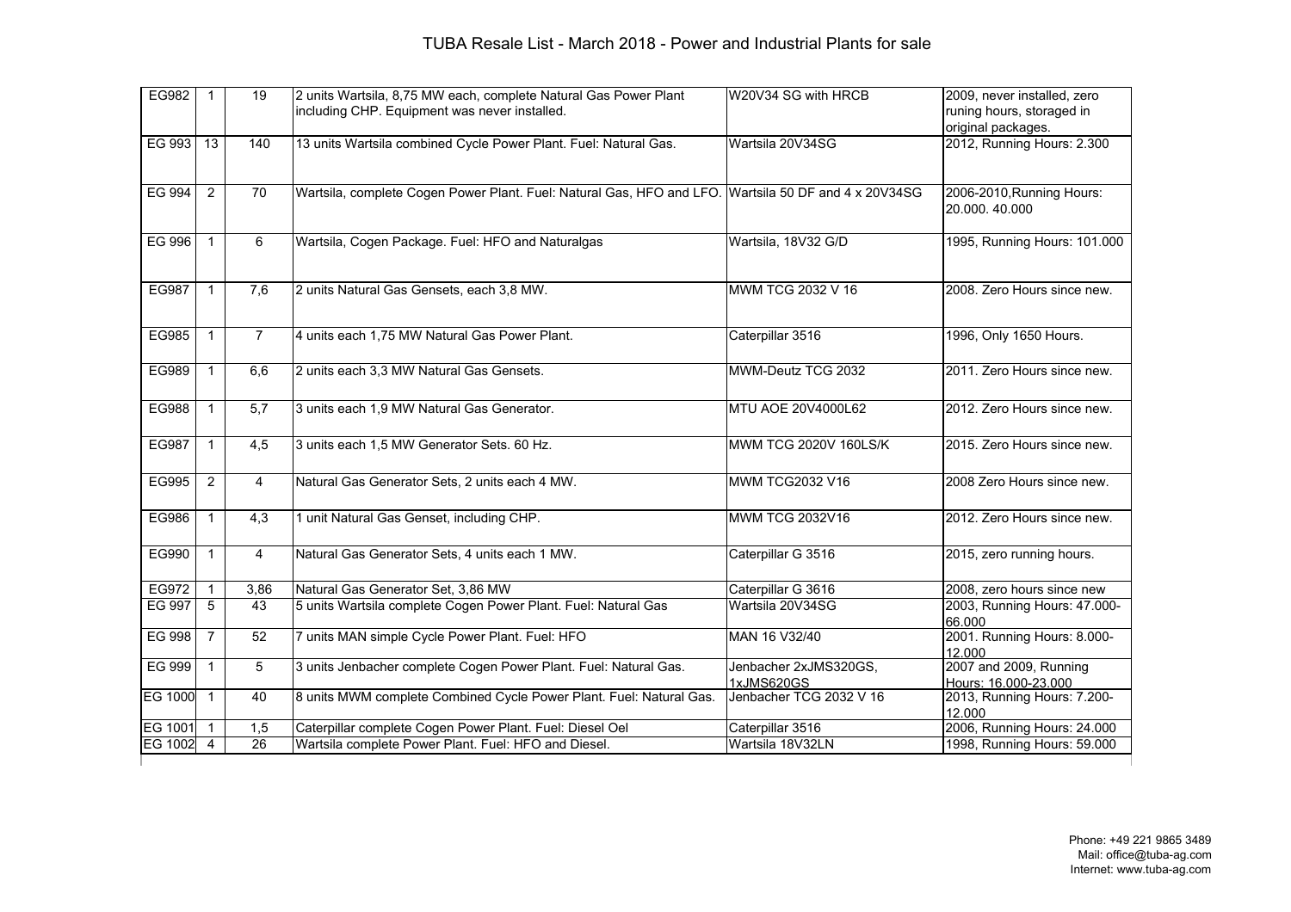### TUBA Resale List - March 2018 - Power and Industrial Plants for sale

| EG982          | $\overline{1}$ | 19              | 2 units Wartsila, 8,75 MW each, complete Natural Gas Power Plant                                     | W20V34 SG with HRCB     | 2009, never installed, zero                     |
|----------------|----------------|-----------------|------------------------------------------------------------------------------------------------------|-------------------------|-------------------------------------------------|
|                |                |                 | including CHP. Equipment was never installed.                                                        |                         | runing hours, storaged in<br>original packages. |
| EG 993         | 13             | 140             | 13 units Wartsila combined Cycle Power Plant. Fuel: Natural Gas.                                     | Wartsila 20V34SG        | 2012, Running Hours: 2.300                      |
|                |                |                 |                                                                                                      |                         |                                                 |
|                |                |                 |                                                                                                      |                         |                                                 |
| <b>EG 994</b>  | $\overline{2}$ | $\overline{70}$ | Wartsila, complete Cogen Power Plant. Fuel: Natural Gas, HFO and LFO. Wartsila 50 DF and 4 x 20V34SG |                         | 2006-2010, Running Hours:                       |
|                |                |                 |                                                                                                      |                         | 20.000.40.000                                   |
| EG 996         | $\overline{1}$ | 6               | Wartsila, Cogen Package. Fuel: HFO and Naturalgas                                                    | Wartsila, 18V32 G/D     | 1995, Running Hours: 101.000                    |
|                |                |                 |                                                                                                      |                         |                                                 |
|                |                |                 |                                                                                                      |                         |                                                 |
| <b>EG987</b>   | $\mathbf{1}$   | 7,6             | 2 units Natural Gas Gensets, each 3,8 MW.                                                            | MWM TCG 2032 V 16       | 2008. Zero Hours since new.                     |
|                |                |                 |                                                                                                      |                         |                                                 |
| EG985          | $\mathbf{1}$   | $\overline{7}$  | 4 units each 1,75 MW Natural Gas Power Plant.                                                        | Caterpillar 3516        | 1996, Only 1650 Hours.                          |
|                |                |                 |                                                                                                      |                         |                                                 |
| EG989          | $\mathbf{1}$   | 6,6             | 2 units each 3,3 MW Natural Gas Gensets.                                                             | MWM-Deutz TCG 2032      | 2011. Zero Hours since new.                     |
|                |                |                 |                                                                                                      |                         |                                                 |
| EG988          | $\mathbf{1}$   | 5.7             | 3 units each 1,9 MW Natural Gas Generator.                                                           | MTU AOE 20V4000L62      | 2012. Zero Hours since new.                     |
|                |                |                 |                                                                                                      |                         |                                                 |
| <b>EG987</b>   | $\mathbf{1}$   | 4,5             | 3 units each 1,5 MW Generator Sets. 60 Hz.                                                           | MWM TCG 2020V 160LS/K   | 2015. Zero Hours since new.                     |
|                |                |                 |                                                                                                      |                         |                                                 |
| EG995          | 2              | 4               | Natural Gas Generator Sets, 2 units each 4 MW.                                                       | <b>MWM TCG2032 V16</b>  | 2008 Zero Hours since new.                      |
|                |                |                 |                                                                                                      |                         |                                                 |
| <b>EG986</b>   | $\mathbf{1}$   | 4,3             | 1 unit Natural Gas Genset, including CHP.                                                            | <b>MWM TCG 2032V16</b>  | 2012. Zero Hours since new.                     |
| EG990          | $\mathbf{1}$   | 4               | Natural Gas Generator Sets, 4 units each 1 MW.                                                       | Caterpillar G 3516      | 2015, zero running hours.                       |
|                |                |                 |                                                                                                      |                         |                                                 |
| EG972          | $\mathbf{1}$   | 3,86            | Natural Gas Generator Set, 3,86 MW                                                                   | Caterpillar G 3616      | 2008, zero hours since new                      |
| <b>EG 997</b>  | 5              | 43              | 5 units Wartsila complete Cogen Power Plant. Fuel: Natural Gas                                       | Wartsila 20V34SG        | 2003, Running Hours: 47.000-                    |
|                |                |                 |                                                                                                      |                         | 66.000                                          |
| EG 998         | $\overline{7}$ | 52              | 7 units MAN simple Cycle Power Plant. Fuel: HFO                                                      | MAN 16 V32/40           | 2001. Running Hours: 8.000-<br>12.000           |
| EG 999         | $\mathbf{1}$   | 5               | 3 units Jenbacher complete Cogen Power Plant. Fuel: Natural Gas.                                     | Jenbacher 2xJMS320GS,   | 2007 and 2009, Running                          |
|                |                |                 |                                                                                                      | 1xJMS620GS              | Hours: 16.000-23.000                            |
| <b>EG 1000</b> | $\mathbf{1}$   | 40              | 8 units MWM complete Combined Cycle Power Plant. Fuel: Natural Gas.                                  | Jenbacher TCG 2032 V 16 | 2013, Running Hours: 7.200-                     |
| <b>EG 1001</b> | $\overline{1}$ | 1.5             | Caterpillar complete Cogen Power Plant. Fuel: Diesel Oel                                             | Caterpillar 3516        | 12.000<br>2006, Running Hours: 24.000           |
| <b>EG 1002</b> | $\overline{4}$ | 26              | Wartsila complete Power Plant. Fuel: HFO and Diesel.                                                 | Wartsila 18V32LN        | 1998, Running Hours: 59.000                     |
|                |                |                 |                                                                                                      |                         |                                                 |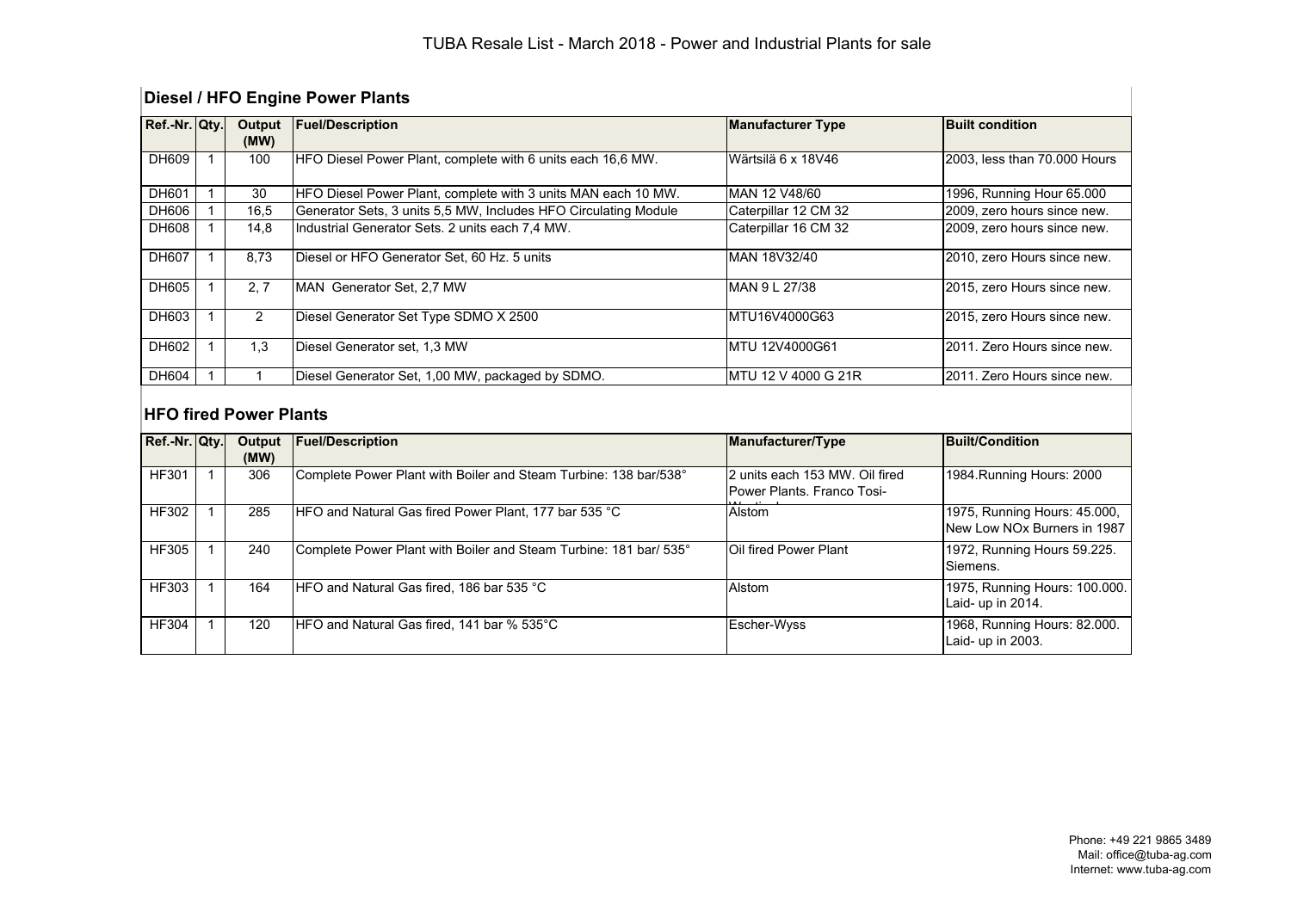# **Diesel / HFO Engine Power Plants**

| Ref.-Nr. Qty. | Output | <b>Fuel/Description</b>                                         | <b>Manufacturer Type</b> | <b>Built condition</b>       |
|---------------|--------|-----------------------------------------------------------------|--------------------------|------------------------------|
|               | (MW)   |                                                                 |                          |                              |
| DH609         | 100    | HFO Diesel Power Plant, complete with 6 units each 16,6 MW.     | Wärtsilä 6 x 18V46       | 2003, less than 70.000 Hours |
| DH601         | 30     | HFO Diesel Power Plant, complete with 3 units MAN each 10 MW.   | MAN 12 V48/60            | 1996, Running Hour 65,000    |
| DH606         | 16,5   | Generator Sets, 3 units 5,5 MW, Includes HFO Circulating Module | Caterpillar 12 CM 32     | 2009, zero hours since new.  |
| <b>DH608</b>  | 14,8   | Industrial Generator Sets. 2 units each 7.4 MW.                 | Caterpillar 16 CM 32     | 2009, zero hours since new.  |
| DH607         | 8.73   | Diesel or HFO Generator Set, 60 Hz. 5 units                     | IMAN 18V32/40            | 2010, zero Hours since new.  |
| DH605         | 2.7    | MAN Generator Set, 2,7 MW                                       | <b>MAN 9 L 27/38</b>     | 2015, zero Hours since new.  |
| DH603         | 2      | Diesel Generator Set Type SDMO X 2500                           | IMTU16V4000G63           | 2015, zero Hours since new.  |
| DH602         | 1.3    | Diesel Generator set, 1,3 MW                                    | MTU 12V4000G61           | 2011. Zero Hours since new.  |
| <b>DH604</b>  |        | Diesel Generator Set, 1,00 MW, packaged by SDMO.                | MTU 12 V 4000 G 21R      | I2011. Zero Hours since new. |

### **HFO fired Power Plants**

| Ref.-Nr. Qty. | Output<br>(MW) | <b>Fuel/Description</b>                                           | <b>Manufacturer/Type</b>                                      | Built/Condition                                             |
|---------------|----------------|-------------------------------------------------------------------|---------------------------------------------------------------|-------------------------------------------------------------|
| <b>HF301</b>  | 306            | Complete Power Plant with Boiler and Steam Turbine: 138 bar/538°  | I2 units each 153 MW. Oil fired<br>Power Plants, Franco Tosi- | 1984. Running Hours: 2000                                   |
| <b>HF302</b>  | 285            | HFO and Natural Gas fired Power Plant, 177 bar 535 °C             | Alstom                                                        | 1975, Running Hours: 45.000,<br>New Low NOx Burners in 1987 |
| <b>HF305</b>  | 240            | Complete Power Plant with Boiler and Steam Turbine: 181 bar/ 535° | <b>IOil fired Power Plant</b>                                 | 1972, Running Hours 59.225.<br>Siemens.                     |
| <b>HF303</b>  | 164            | HFO and Natural Gas fired, 186 bar 535 °C                         | Alstom                                                        | 1975, Running Hours: 100.000.<br>Laid- up in 2014.          |
| <b>HF304</b>  | 120            | HFO and Natural Gas fired, 141 bar % 535°C                        | Escher-Wyss                                                   | 1968, Running Hours: 82.000.<br>Laid- up in 2003.           |